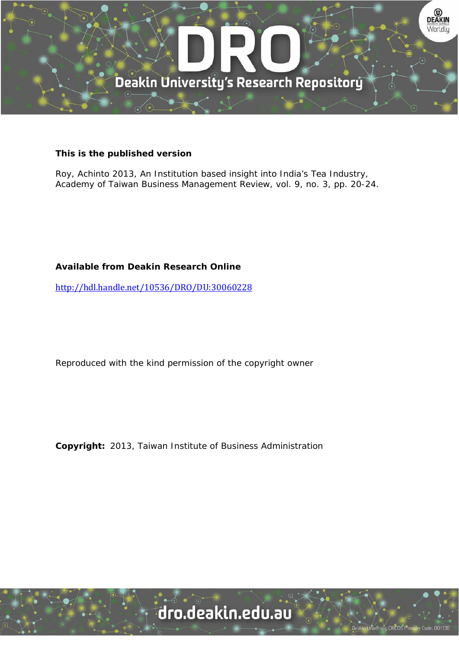

# **This is the published version**

Roy, Achinto 2013, An Institution based insight into India's Tea Industry, Academy of Taiwan Business Management Review, vol. 9, no. 3, pp. 20-24.

# **Available from Deakin Research Online**

http://hdl.handle.net/10536/DRO/DU:30060228

Reproduced with the kind permission of the copyright owner

**Copyright:** 2013, Taiwan Institute of Business Administration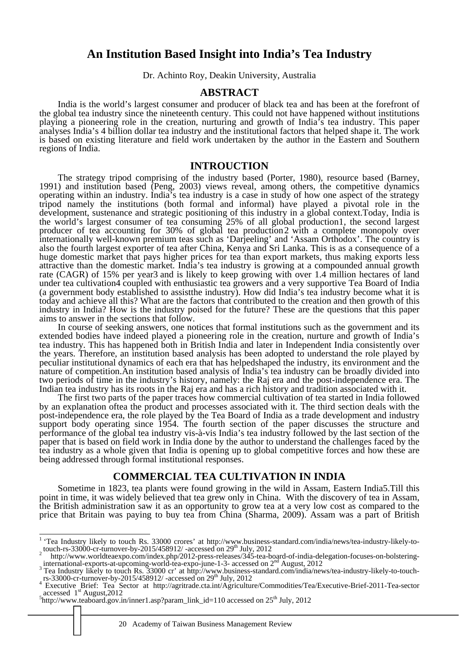# **An Institution Based Insight into India's Tea Industry**

Dr. Achinto Roy, Deakin University, Australia

# **ABSTRACT**

India is the world's largest consumer and producer of black tea and has been at the forefront of the global tea industry since the nineteenth century. This could not have happened without institutions playing a pioneering role in the creation, nurturing and growth of India's tea industry. This paper analyses India's 4 billion dollar tea industry and the institutional factors that helped shape it. The work is based on existing literature and field work undertaken by the author in the Eastern and Southern regions of India.

#### **INTROUCTION**

The strategy tripod comprising of the industry based (Porter, 1980), resource based (Barney, 1991) and institution based (Peng, 2003) views reveal, among others, the competitive dynamics operating within an industry. India's tea industry is a case in study of how one aspect of the strategy tripod namely the institutions (both formal and informal) have played a pivotal role in the development, sustenance and strategic positioning of this industry in a global context.Today, India is the world's largest consumer of tea consuming 25% of all global production1, the second largest producer of tea accounting for 30% of global tea production2 with a complete monopoly over internationally well-known premium teas such as 'Darjeeling' and 'Assam Orthodox'. The country is also the fourth largest exporter of tea after China, Kenya and Sri Lanka. This is as a consequence of a huge domestic market that pays higher prices for tea than export markets, thus making exports less attractive than the domestic market. India's tea industry is growing at a compounded annual growth rate (CAGR) of 15% per year3 and is likely to keep growing with over 1.4 million hectares of land under tea cultivation4 coupled with enthusiastic tea growers and a very supportive Tea Board of India (a government body established to assistthe industry). How did India's tea industry become what it is today and achieve all this? What are the factors that contributed to the creation and then growth of this industry in India? How is the industry poised for the future? These are the questions that this paper aims to answer in the sections that follow.

In course of seeking answers, one notices that formal institutions such as the government and its extended bodies have indeed played a pioneering role in the creation, nurture and growth of India's tea industry. This has happened both in British India and later in Independent India consistently over the years. Therefore, an institution based analysis has been adopted to understand the role played by peculiar institutional dynamics of each era that has helpedshaped the industry, its environment and the nature of competition.An institution based analysis of India's tea industry can be broadly divided into two periods of time in the industry's history, namely: the Raj era and the post-independence era. The Indian tea industry has its roots in the Raj era and has a rich history and tradition associated with it.

The first two parts of the paper traces how commercial cultivation of tea started in India followed by an explanation oftea the product and processes associated with it. The third section deals with the post-independence era, the role played by the Tea Board of India as a trade development and industry support body operating since 1954. The fourth section of the paper discusses the structure and performance of the global tea industry vis-à-vis India's tea industry followed by the last section of the paper that is based on field work in India done by the author to understand the challenges faced by the tea industry as a whole given that India is opening up to global competitive forces and how these are being addressed through formal institutional responses.

# **COMMERCIAL TEA CULTIVATION IN INDIA**

Sometime in 1823, tea plants were found growing in the wild in Assam, Eastern India5.Till this point in time, it was widely believed that tea grew only in China. With the discovery of tea in Assam, the British administration saw it as an opportunity to grow tea at a very low cost as compared to the price that Britain was paying to buy tea from China (Sharma, 2009). Assam was a part of British

 1 'Tea Industry likely to touch Rs. 33000 crores' at http://www.business-standard.com/india/news/tea-industry-likely-totouch-rs-33000-cr-turnover-by-2015/458912/-accessed on 29<sup>th</sup> July, 2012<br>http://www.worldteaexpo.com/index.php/2012-press-releases/345-tea-board-of-india-delegation-focuses-on-bolstering-

international-exports-at-upcoming-world-tea-expo-june-1-3- accessed on 2<sup>nd</sup> August, 2012<br><sup>3</sup> Tea Industry likely to touch Rs. 33000 cr' at http://www.business-standard.com/india/news/tea-industry-likely-to-touch-<br><sup>1</sup> Tea

accessed  $1<sup>st</sup>$  August, 2012

 $^{5}$ http://www.teaboard.gov.in/inner1.asp?param\_link\_id=110 accessed on 25<sup>th</sup> July, 2012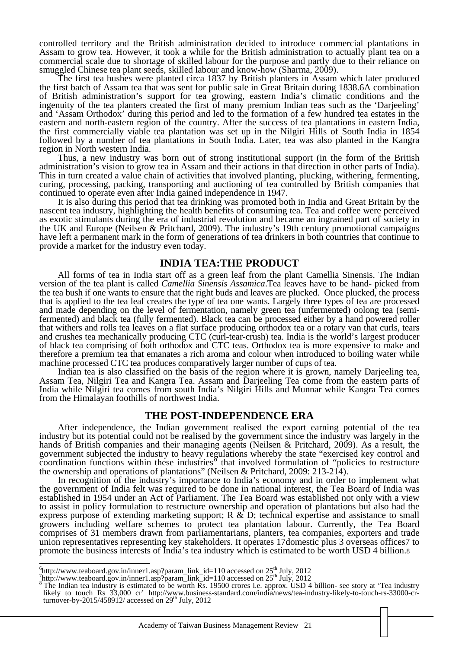controlled territory and the British administration decided to introduce commercial plantations in Assam to grow tea. However, it took a while for the British administration to actually plant tea on a commercial scale due to shortage of skilled labour for the purpose and partly due to their reliance on smuggled Chinese tea plant seeds, skilled labour and know-how (Sharma, 2009).

The first tea bushes were planted circa 1837 by British planters in Assam which later produced the first batch of Assam tea that was sent for public sale in Great Britain during 1838.6A combination of British administration's support for tea growing, eastern India's climatic conditions and the ingenuity of the tea planters created the first of many premium Indian teas such as the 'Darjeeling' and 'Assam Orthodox' during this period and led to the formation of a few hundred tea estates in the eastern and north-eastern region of the country. After the success of tea plantations in eastern India, the first commercially viable tea plantation was set up in the Nilgiri Hills of South India in 1854 followed by a number of tea plantations in South India. Later, tea was also planted in the Kangra region in North western India.

Thus, a new industry was born out of strong institutional support (in the form of the British administration's vision to grow tea in Assam and their actions in that direction in other parts of India). This in turn created a value chain of activities that involved planting, plucking, withering, fermenting, curing, processing, packing, transporting and auctioning of tea controlled by British companies that continued to operate even after India gained independence in 1947.

It is also during this period that tea drinking was promoted both in India and Great Britain by the nascent tea industry, highlighting the health benefits of consuming tea. Tea and coffee were perceived as exotic stimulants during the era of industrial revolution and became an ingrained part of society in the UK and Europe (Neilsen & Pritchard, 2009). The industry's 19th century promotional campaigns have left a permanent mark in the form of generations of tea drinkers in both countries that continue to provide a market for the industry even today.

### **INDIA TEA:THE PRODUCT**

All forms of tea in India start off as a green leaf from the plant Camellia Sinensis. The Indian version of the tea plant is called *Camellia Sinensis Assamica*.Tea leaves have to be hand- picked from the tea bush if one wants to ensure that the right buds and leaves are plucked. Once plucked, the process that is applied to the tea leaf creates the type of tea one wants. Largely three types of tea are processed and made depending on the level of fermentation, namely green tea (unfermented) oolong tea (semifermented) and black tea (fully fermented). Black tea can be processed either by a hand powered roller that withers and rolls tea leaves on a flat surface producing orthodox tea or a rotary van that curls, tears and crushes tea mechanically producing CTC (curl-tear-crush) tea. India is the world's largest producer of black tea comprising of both orthodox and CTC teas. Orthodox tea is more expensive to make and therefore a premium tea that emanates a rich aroma and colour when introduced to boiling water while machine processed CTC tea produces comparatively larger number of cups of tea.

Indian tea is also classified on the basis of the region where it is grown, namely Darjeeling tea, Assam Tea, Nilgiri Tea and Kangra Tea. Assam and Darjeeling Tea come from the eastern parts of India while Nilgiri tea comes from south India's Nilgiri Hills and Munnar while Kangra Tea comes from the Himalayan foothills of northwest India.

### **THE POST-INDEPENDENCE ERA**

After independence, the Indian government realised the export earning potential of the tea industry but its potential could not be realised by the government since the industry was largely in the hands of British companies and their managing agents (Neilsen & Pritchard, 2009). As a result, the government subjected the industry to heavy regulations whereby the state "exercised key control and coordination functions within these industries" that involved formulation of "policies to restructure the ownership and operations of plantations" (Neilsen & Pritchard, 2009: 213-214).

In recognition of the industry's importance to India's economy and in order to implement what the government of India felt was required to be done in national interest, the Tea Board of India was established in 1954 under an Act of Parliament. The Tea Board was established not only with a view to assist in policy formulation to restructure ownership and operation of plantations but also had the express purpose of extending marketing support;  $R \& D$ ; technical expertise and assistance to small growers including welfare schemes to protect tea plantation labour. Currently, the Tea Board comprises of 31 members drawn from parliamentarians, planters, tea companies, exporters and trade union representatives representing key stakeholders. It operates 17domestic plus 3 overseas offices7 to promote the business interests of India's tea industry which is estimated to be worth USD 4 billion.8

 $\frac{6}{7}$ http://www.teaboard.gov.in/inner1.asp?param\_link\_id=110 accessed on 25<sup>th</sup> July, 2012

Thttp://www.teaboard.gov.in/inner1.asp?param\_link\_id=110 accessed on  $25<sup>th</sup>$  July, 2012<br><sup>8</sup> The Indian tea industry is estimated to be worth Rs. 19500 crores i.e. approx. USD 4 billion- see story at 'Tea industry likely to touch Rs 33,000 cr' http://www.business-standard.com/india/news/tea-industry-likely-to-touch-rs-33000-cr-<br>turnover-by-2015/458912/ accessed on 29<sup>th</sup> July, 2012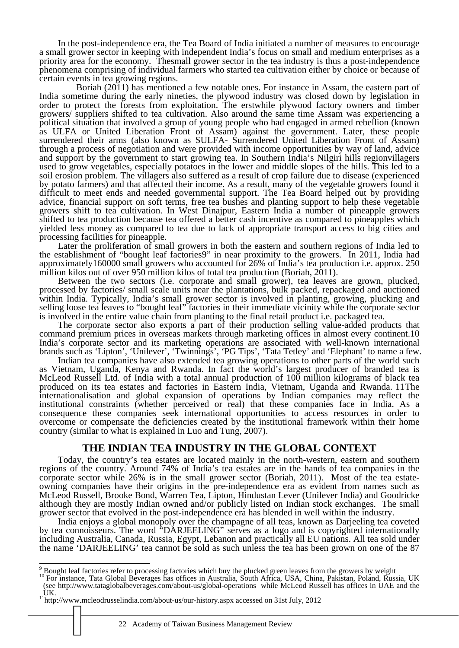In the post-independence era, the Tea Board of India initiated a number of measures to encourage a small grower sector in keeping with independent India's focus on small and medium enterprises as a priority area for the economy. Thesmall grower sector in the tea industry is thus a post-independence phenomena comprising of individual farmers who started tea cultivation either by choice or because of certain events in tea growing regions.

 Boriah (2011) has mentioned a few notable ones. For instance in Assam, the eastern part of India sometime during the early nineties, the plywood industry was closed down by legislation in order to protect the forests from exploitation. The erstwhile plywood factory owners and timber growers/ suppliers shifted to tea cultivation. Also around the same time Assam was experiencing a political situation that involved a group of young people who had engaged in armed rebellion (known as ULFA or United Liberation Front of Assam) against the government. Later, these people surrendered their arms (also known as SULFA- Surrendered United Liberation Front of Assam) through a process of negotiation and were provided with income opportunities by way of land, advice and support by the government to start growing tea. In Southern India's Nilgiri hills regionvillagers used to grow vegetables, especially potatoes in the lower and middle slopes of the hills. This led to a soil erosion problem. The villagers also suffered as a result of crop failure due to disease (experienced by potato farmers) and that affected their income. As a result, many of the vegetable growers found it difficult to meet ends and needed governmental support. The Tea Board helped out by providing advice, financial support on soft terms, free tea bushes and planting support to help these vegetable growers shift to tea cultivation. In West Dinajpur, Eastern India a number of pineapple growers shifted to tea production because tea offered a better cash incentive as compared to pineapples which yielded less money as compared to tea due to lack of appropriate transport access to big cities and processing facilities for pineapple.

Later the proliferation of small growers in both the eastern and southern regions of India led to the establishment of "bought leaf factories9" in near proximity to the growers. In 2011, India had approximately160000 small growers who accounted for 26% of India's tea production i.e. approx. 250 million kilos out of over 950 million kilos of total tea production (Boriah, 2011).

Between the two sectors (i.e. corporate and small grower), tea leaves are grown, plucked, processed by factories/ small scale units near the plantations, bulk packed, repackaged and auctioned within India. Typically, India's small grower sector is involved in planting, growing, plucking and selling loose tea leaves to "bought leaf" factories in their immediate vicinity while the corporate sector is involved in the entire value chain from planting to the final retail product i.e. packaged tea.

The corporate sector also exports a part of their production selling value-added products that command premium prices in overseas markets through marketing offices in almost every continent.10 India's corporate sector and its marketing operations are associated with well-known international brands such as 'Lipton', 'Unilever', 'Twinnings', 'PG Tips', 'Tata Tetley' and 'Elephant' to name a few.

Indian tea companies have also extended tea growing operations to other parts of the world such as Vietnam, Uganda, Kenya and Rwanda. In fact the world's largest producer of branded tea is McLeod Russell Ltd. of India with a total annual production of 100 million kilograms of black tea produced on its tea estates and factories in Eastern India, Vietnam, Uganda and Rwanda. 11The internationalisation and global expansion of operations by Indian companies may reflect the institutional constraints (whether perceived or real) that these companies face in India. As a consequence these companies seek international opportunities to access resources in order to overcome or compensate the deficiencies created by the institutional framework within their home country (similar to what is explained in Luo and Tung, 2007).

# **THE INDIAN TEA INDUSTRY IN THE GLOBAL CONTEXT**

Today, the country's tea estates are located mainly in the north-western, eastern and southern regions of the country. Around 74% of India's tea estates are in the hands of tea companies in the corporate sector while 26% is in the small grower sector (Boriah, 2011). Most of the tea estateowning companies have their origins in the pre-independence era as evident from names such as McLeod Russell, Brooke Bond, Warren Tea, Lipton, Hindustan Lever (Unilever India) and Goodricke although they are mostly Indian owned and/or publicly listed on Indian stock exchanges. The small grower sector that evolved in the post-independence era has blended in well within the industry.

India enjoys a global monopoly over the champagne of all teas, known as Darjeeling tea coveted by tea connoisseurs. The word "DARJEELING" serves as a logo and is copyrighted internationally including Australia, Canada, Russia, Egypt, Lebanon and practically all EU nations. All tea sold under the name 'DARJEELING' tea cannot be sold as such unless the tea has been grown on one of the 87

<sup>9&</sup>lt;br>Bought leaf factories refer to processing factories which buy the plucked green leaves from the growers by weight<br><sup>10</sup> For instance, Tata Global Beverages has offices in Australia, South Africa, USA, China, Pakistan, Pol

<sup>(</sup>see http://www.tataglobalbeverages.com/about-us/global-operations while McLeod Russell has offices in UAE and the UK.

<sup>&</sup>lt;sup>11</sup>http://www.mcleodrusselindia.com/about-us/our-history.aspx accessed on 31st July, 2012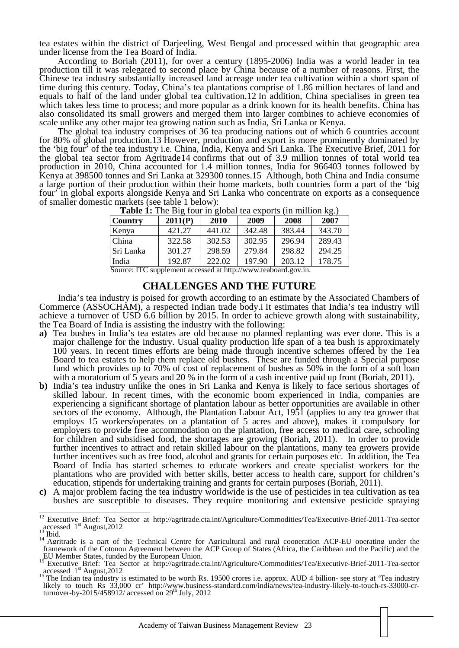tea estates within the district of Darjeeling, West Bengal and processed within that geographic area under license from the Tea Board of India.

According to Boriah (2011), for over a century (1895-2006) India was a world leader in tea production till it was relegated to second place by China because of a number of reasons. First, the Chinese tea industry substantially increased land acreage under tea cultivation within a short span of time during this century. Today, China's tea plantations comprise of 1.86 million hectares of land and equals to half of the land under global tea cultivation.12 In addition, China specialises in green tea which takes less time to process; and more popular as a drink known for its health benefits. China has also consolidated its small growers and merged them into larger combines to achieve economies of scale unlike any other major tea growing nation such as India, Sri Lanka or Kenya.

The global tea industry comprises of 36 tea producing nations out of which 6 countries account for 80% of global production.13 However, production and export is more prominently dominated by the 'big four' of the tea industry i.e. China, India, Kenya and Sri Lanka. The Executive Brief, 2011 for the global tea sector from Agritrade14 confirms that out of 3.9 million tonnes of total world tea production in 2010, China accounted for 1.4 million tonnes, India for 966403 tonnes followed by Kenya at 398500 tonnes and Sri Lanka at 329300 tonnes.15 Although, both China and India consume a large portion of their production within their home markets, both countries form a part of the 'big four' in global exports alongside Kenya and Sri Lanka who concentrate on exports as a consequence of smaller domestic markets (see table 1 below):

| <b>Table 1.</b> The Dig four in grobal lea exports (in immon Rg.) |         |        |        |        |        |
|-------------------------------------------------------------------|---------|--------|--------|--------|--------|
| <b>Country</b>                                                    | 2011(P) | 2010   | 2009   | 2008   | 2007   |
| Kenya                                                             | 421.27  | 441.02 | 342.48 | 383.44 | 343.70 |
| China                                                             | 322.58  | 302.53 | 302.95 | 296.94 | 289.43 |
| Sri Lanka                                                         | 301.27  | 298.59 | 279.84 | 298.82 | 294.25 |
| India                                                             | 192.87  | 222.02 | 197.90 | 203.12 | 178.75 |

**Table 1:** The Big four in global tea exports (in million kg)

Source: ITC supplement accessed at http://www.teaboard.gov.in.

#### **CHALLENGES AND THE FUTURE**

India's tea industry is poised for growth according to an estimate by the Associated Chambers of Commerce (ASSOCHAM), a respected Indian trade body.i It estimates that India's tea industry will achieve a turnover of USD 6.6 billion by 2015. In order to achieve growth along with sustainability, the Tea Board of India is assisting the industry with the following:

- **a)** Tea bushes in India's tea estates are old because no planned replanting was ever done. This is a major challenge for the industry. Usual quality production life span of a tea bush is approximately 100 years. In recent times efforts are being made through incentive schemes offered by the Tea Board to tea estates to help them replace old bushes. These are funded through a Special purpose fund which provides up to 70% of cost of replacement of bushes as 50% in the form of a soft loan with a moratorium of 5 years and 20 % in the form of a cash incentive paid up front (Boriah, 2011).
- **b)** India's tea industry unlike the ones in Sri Lanka and Kenya is likely to face serious shortages of skilled labour. In recent times, with the economic boom experienced in India, companies are experiencing a significant shortage of plantation labour as better opportunities are available in other sectors of the economy. Although, the Plantation Labour Act, 1951 (applies to any tea grower that employs 15 workers/operates on a plantation of 5 acres and above), makes it compulsory for employers to provide free accommodation on the plantation, free access to medical care, schooling for children and subsidised food, the shortages are growing (Boriah, 2011). In order to provide further incentives to attract and retain skilled labour on the plantations, many tea growers provide further incentives such as free food, alcohol and grants for certain purposes etc. In addition, the Tea Board of India has started schemes to educate workers and create specialist workers for the plantations who are provided with better skills, better access to health care, support for children's education, stipends for undertaking training and grants for certain purposes (Boriah, 2011).
- **c)** A major problem facing the tea industry worldwide is the use of pesticides in tea cultivation as tea bushes are susceptible to diseases. They require monitoring and extensive pesticide spraying

 $\overline{12}$ 

<sup>&</sup>lt;sup>12</sup> Executive Brief: Tea Sector at http://agritrade.cta.int/Agriculture/Commodities/Tea/Executive-Brief-2011-Tea-sector accessed 1<sup>st</sup> August,2012<br><sup>13</sup> Ibid.<br><sup>14</sup> Agritrade is a part of the Technical Centre for Agricultural and rural cooperation ACP-EU operating under the

<sup>&</sup>lt;sup>14</sup> Agritrade is a part of the Technical Centre for Agricultural and rural cooperation ACP-EU operating under the framework of the Cotonou Agreement between the ACP Group of States (Africa, the Caribbean and the Pacific)

Executive Brief: Tea Sector at http://agritrade.cta.int/Agriculture/Commodities/Tea/Executive-Brief-2011-Tea-sector

accessed 1<sup>st</sup> August,2012<br><sup>15</sup> The Indian tea industry is estimated to be worth Rs. 19500 crores i.e. approx. AUD 4 billion- see story at 'Tea industry<br><sup>15</sup> The Indian tea industry is estimated to be worth Rs. 19500 crore likely to touch Rs 33,000 cr' http://www.business-standard.com/india/news/tea-industry-likely-to-touch-rs-33000-crturnover-by-2015/458912/ accessed on  $29<sup>th</sup>$  July, 2012